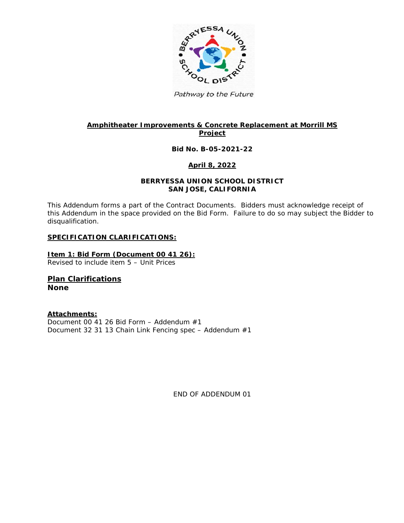

Pathway to the Future

## **Amphitheater Improvements & Concrete Replacement at Morrill MS Project**

### **Bid No. B-05-2021-22**

### **April 8, 2022**

#### **BERRYESSA UNION SCHOOL DISTRICT SAN JOSE, CALIFORNIA**

This Addendum forms a part of the Contract Documents. Bidders must acknowledge receipt of this Addendum in the space provided on the Bid Form. Failure to do so may subject the Bidder to disqualification.

#### **SPECIFICATION CLARIFICATIONS:**

**Item 1: Bid Form (Document 00 41 26):** Revised to include item 5 – Unit Prices

**Plan Clarifications None**

**Attachments:** Document 00 41 26 Bid Form – Addendum #1 Document 32 31 13 Chain Link Fencing spec – Addendum #1

END OF ADDENDUM 01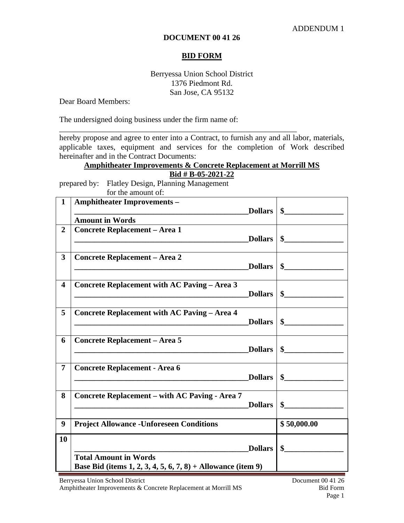### **DOCUMENT 00 41 26**

### **BID FORM**

## Berryessa Union School District 1376 Piedmont Rd. San Jose, CA 95132

Dear Board Members:

The undersigned doing business under the firm name of:

hereby propose and agree to enter into a Contract, to furnish any and all labor, materials, applicable taxes, equipment and services for the completion of Work described hereinafter and in the Contract Documents:

\_\_\_\_\_\_\_\_\_\_\_\_\_\_\_\_\_\_\_\_\_\_\_\_\_\_\_\_\_\_\_\_\_\_\_\_\_\_\_\_\_\_\_\_\_\_\_\_\_\_\_\_\_\_\_\_\_\_\_\_

# **Amphitheater Improvements & Concrete Replacement at Morrill MS Bid # B-05-2021-22**

prepared by: Flatley Design, Planning Management for the amount of:

| $\mathbf{1}$            | <b>Amphitheater Improvements -</b>                                      |                       |
|-------------------------|-------------------------------------------------------------------------|-----------------------|
|                         | Dollars  <br><b>Amount in Words</b>                                     | $\sim$                |
| $\overline{2}$          | <b>Concrete Replacement - Area 1</b>                                    |                       |
|                         | <b>Dollars</b>                                                          | $\sim$                |
|                         |                                                                         |                       |
| 3                       | <b>Concrete Replacement - Area 2</b><br><b>Dollars</b>                  | $\sim$                |
|                         |                                                                         |                       |
| $\overline{\mathbf{4}}$ | <b>Concrete Replacement with AC Paving - Area 3</b>                     |                       |
|                         | <b>Dollars</b>                                                          | $\mathbf{\$}$         |
| 5                       | <b>Concrete Replacement with AC Paving - Area 4</b>                     |                       |
|                         | <b>Dollars</b>                                                          | $\bullet$             |
|                         |                                                                         |                       |
| 6                       | <b>Concrete Replacement - Area 5</b>                                    |                       |
|                         | Dollars                                                                 | $\sim$                |
| 7                       | <b>Concrete Replacement - Area 6</b>                                    |                       |
|                         |                                                                         | $Dollars \,   \, \$\$ |
|                         |                                                                         |                       |
| 8                       | <b>Concrete Replacement - with AC Paving - Area 7</b><br><b>Dollars</b> | \$                    |
|                         |                                                                         |                       |
| 9                       | <b>Project Allowance - Unforeseen Conditions</b>                        | \$50,000.00           |
| 10                      |                                                                         |                       |
|                         | <b>Dollars</b>                                                          | $\mathbf{\$}$         |
|                         | <b>Total Amount in Words</b>                                            |                       |
|                         | Base Bid (items 1, 2, 3, 4, 5, 6, 7, 8) + Allowance (item 9)            |                       |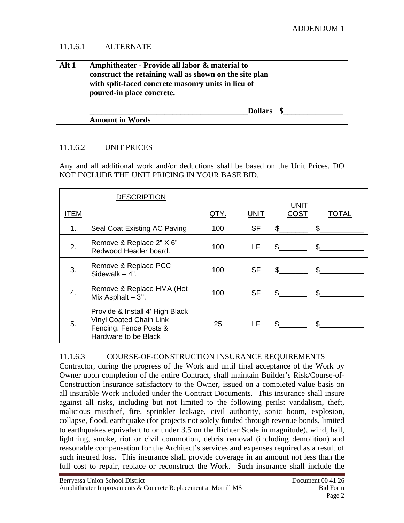# 11.1.6.1 ALTERNATE

| Alt 1 | Amphitheater - Provide all labor & material to<br>construct the retaining wall as shown on the site plan<br>with split-faced concrete masonry units in lieu of<br>poured-in place concrete. |  |
|-------|---------------------------------------------------------------------------------------------------------------------------------------------------------------------------------------------|--|
|       | <b>Dollars</b><br><b>Amount in Words</b>                                                                                                                                                    |  |

# 11.1.6.2 UNIT PRICES

Any and all additional work and/or deductions shall be based on the Unit Prices. DO NOT INCLUDE THE UNIT PRICING IN YOUR BASE BID.

|      | <b>DESCRIPTION</b>                                                                                                  |             |             |              |                |
|------|---------------------------------------------------------------------------------------------------------------------|-------------|-------------|--------------|----------------|
| ITEM |                                                                                                                     | <u>QTY.</u> | <b>UNIT</b> | UNIT<br>COST | TOTAL          |
| 1.   | Seal Coat Existing AC Paving                                                                                        | 100         | <b>SF</b>   | \$           | \$             |
| 2.   | Remove & Replace 2" X 6"<br>Redwood Header board.                                                                   | 100         | LF          | \$           | \$             |
| 3.   | Remove & Replace PCC<br>Sidewalk $-4$ ".                                                                            | 100         | <b>SF</b>   | \$           | $\mathfrak{L}$ |
| 4.   | Remove & Replace HMA (Hot<br>Mix Asphalt $-3$ ".                                                                    | 100         | <b>SF</b>   | \$           | \$             |
| 5.   | Provide & Install 4' High Black<br><b>Vinyl Coated Chain Link</b><br>Fencing. Fence Posts &<br>Hardware to be Black | 25          | LF          | \$           | \$             |

# 11.1.6.3 COURSE-OF-CONSTRUCTION INSURANCE REQUIREMENTS

Contractor, during the progress of the Work and until final acceptance of the Work by Owner upon completion of the entire Contract, shall maintain Builder's Risk/Course-of-Construction insurance satisfactory to the Owner, issued on a completed value basis on all insurable Work included under the Contract Documents. This insurance shall insure against all risks, including but not limited to the following perils: vandalism, theft, malicious mischief, fire, sprinkler leakage, civil authority, sonic boom, explosion, collapse, flood, earthquake (for projects not solely funded through revenue bonds, limited to earthquakes equivalent to or under 3.5 on the Richter Scale in magnitude), wind, hail, lightning, smoke, riot or civil commotion, debris removal (including demolition) and reasonable compensation for the Architect's services and expenses required as a result of such insured loss. This insurance shall provide coverage in an amount not less than the full cost to repair, replace or reconstruct the Work. Such insurance shall include the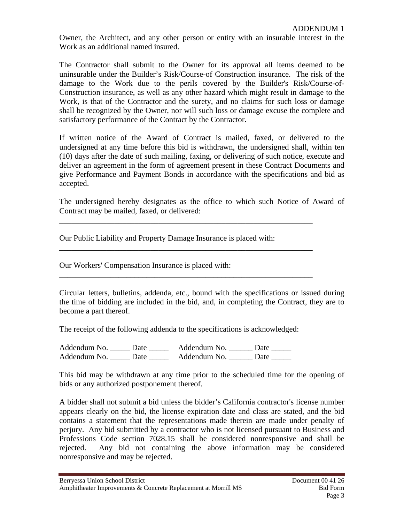Owner, the Architect, and any other person or entity with an insurable interest in the Work as an additional named insured.

The Contractor shall submit to the Owner for its approval all items deemed to be uninsurable under the Builder's Risk/Course-of Construction insurance. The risk of the damage to the Work due to the perils covered by the Builder's Risk/Course-of-Construction insurance, as well as any other hazard which might result in damage to the Work, is that of the Contractor and the surety, and no claims for such loss or damage shall be recognized by the Owner, nor will such loss or damage excuse the complete and satisfactory performance of the Contract by the Contractor.

If written notice of the Award of Contract is mailed, faxed, or delivered to the undersigned at any time before this bid is withdrawn, the undersigned shall, within ten (10) days after the date of such mailing, faxing, or delivering of such notice, execute and deliver an agreement in the form of agreement present in these Contract Documents and give Performance and Payment Bonds in accordance with the specifications and bid as accepted.

The undersigned hereby designates as the office to which such Notice of Award of Contract may be mailed, faxed, or delivered:

\_\_\_\_\_\_\_\_\_\_\_\_\_\_\_\_\_\_\_\_\_\_\_\_\_\_\_\_\_\_\_\_\_\_\_\_\_\_\_\_\_\_\_\_\_\_\_\_\_\_\_\_\_\_\_\_\_\_\_\_\_\_\_\_

\_\_\_\_\_\_\_\_\_\_\_\_\_\_\_\_\_\_\_\_\_\_\_\_\_\_\_\_\_\_\_\_\_\_\_\_\_\_\_\_\_\_\_\_\_\_\_\_\_\_\_\_\_\_\_\_\_\_\_\_\_\_\_\_

\_\_\_\_\_\_\_\_\_\_\_\_\_\_\_\_\_\_\_\_\_\_\_\_\_\_\_\_\_\_\_\_\_\_\_\_\_\_\_\_\_\_\_\_\_\_\_\_\_\_\_\_\_\_\_\_\_\_\_\_\_\_\_\_

Our Public Liability and Property Damage Insurance is placed with:

Our Workers' Compensation Insurance is placed with:

Circular letters, bulletins, addenda, etc., bound with the specifications or issued during the time of bidding are included in the bid, and, in completing the Contract, they are to become a part thereof.

The receipt of the following addenda to the specifications is acknowledged:

Addendum No. \_\_\_\_\_\_ Date \_\_\_\_\_\_\_ Addendum No. \_\_\_\_\_\_ Date \_\_\_\_\_\_ Addendum No. Date Addendum No. Date

This bid may be withdrawn at any time prior to the scheduled time for the opening of bids or any authorized postponement thereof.

A bidder shall not submit a bid unless the bidder's California contractor's license number appears clearly on the bid, the license expiration date and class are stated, and the bid contains a statement that the representations made therein are made under penalty of perjury. Any bid submitted by a contractor who is not licensed pursuant to Business and Professions Code section 7028.15 shall be considered nonresponsive and shall be rejected. Any bid not containing the above information may be considered nonresponsive and may be rejected.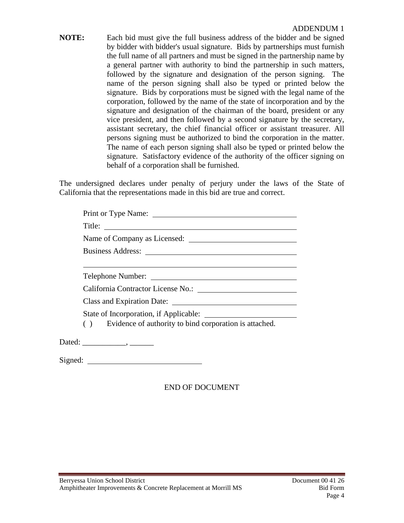**NOTE:** Each bid must give the full business address of the bidder and be signed by bidder with bidder's usual signature. Bids by partnerships must furnish the full name of all partners and must be signed in the partnership name by a general partner with authority to bind the partnership in such matters, followed by the signature and designation of the person signing. The name of the person signing shall also be typed or printed below the signature. Bids by corporations must be signed with the legal name of the corporation, followed by the name of the state of incorporation and by the signature and designation of the chairman of the board, president or any vice president, and then followed by a second signature by the secretary, assistant secretary, the chief financial officer or assistant treasurer. All persons signing must be authorized to bind the corporation in the matter. The name of each person signing shall also be typed or printed below the signature. Satisfactory evidence of the authority of the officer signing on behalf of a corporation shall be furnished.

The undersigned declares under penalty of perjury under the laws of the State of California that the representations made in this bid are true and correct.

|         | Title:                                                    |
|---------|-----------------------------------------------------------|
|         |                                                           |
|         |                                                           |
|         | Telephone Number:                                         |
|         |                                                           |
|         |                                                           |
|         |                                                           |
|         | () Evidence of authority to bind corporation is attached. |
|         |                                                           |
| Signed: |                                                           |

# END OF DOCUMENT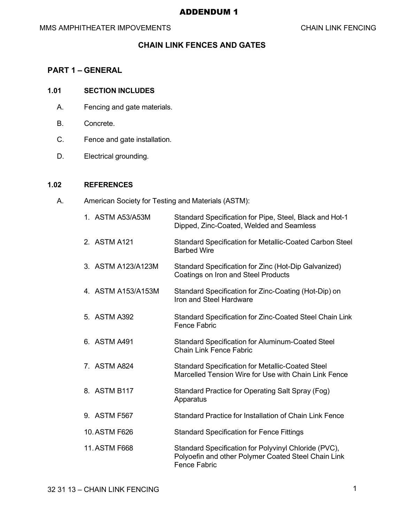## ADDENDUM 1

# **CHAIN LINK FENCES AND GATES**

# **PART 1 – GENERAL**

### **1.01 SECTION INCLUDES**

- A. Fencing and gate materials.
- B. Concrete.
- C. Fence and gate installation.
- D. Electrical grounding.

### **1.02 REFERENCES**

A. American Society for Testing and Materials (ASTM):

| 1. ASTM A53/A53M   | Standard Specification for Pipe, Steel, Black and Hot-1<br>Dipped, Zinc-Coated, Welded and Seamless                                |
|--------------------|------------------------------------------------------------------------------------------------------------------------------------|
| 2. ASTM A121       | Standard Specification for Metallic-Coated Carbon Steel<br><b>Barbed Wire</b>                                                      |
| 3. ASTM A123/A123M | Standard Specification for Zinc (Hot-Dip Galvanized)<br><b>Coatings on Iron and Steel Products</b>                                 |
| 4. ASTM A153/A153M | Standard Specification for Zinc-Coating (Hot-Dip) on<br>Iron and Steel Hardware                                                    |
| 5. ASTM A392       | Standard Specification for Zinc-Coated Steel Chain Link<br><b>Fence Fabric</b>                                                     |
| 6. ASTM A491       | <b>Standard Specification for Aluminum-Coated Steel</b><br><b>Chain Link Fence Fabric</b>                                          |
| 7. ASTM A824       | <b>Standard Specification for Metallic-Coated Steel</b><br>Marcelled Tension Wire for Use with Chain Link Fence                    |
| 8. ASTM B117       | Standard Practice for Operating Salt Spray (Fog)<br>Apparatus                                                                      |
| 9. ASTM F567       | Standard Practice for Installation of Chain Link Fence                                                                             |
| 10. ASTM F626      | <b>Standard Specification for Fence Fittings</b>                                                                                   |
| 11. ASTM F668      | Standard Specification for Polyvinyl Chloride (PVC),<br>Polyoefin and other Polymer Coated Steel Chain Link<br><b>Fence Fabric</b> |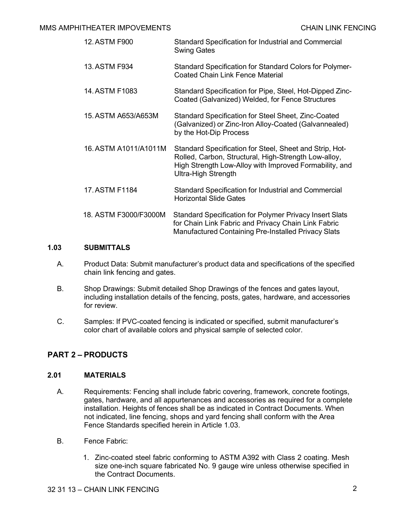| 12. ASTM F900         | Standard Specification for Industrial and Commercial<br><b>Swing Gates</b>                                                                                                                       |
|-----------------------|--------------------------------------------------------------------------------------------------------------------------------------------------------------------------------------------------|
| 13. ASTM F934         | <b>Standard Specification for Standard Colors for Polymer-</b><br><b>Coated Chain Link Fence Material</b>                                                                                        |
| 14. ASTM F1083        | Standard Specification for Pipe, Steel, Hot-Dipped Zinc-<br>Coated (Galvanized) Welded, for Fence Structures                                                                                     |
| 15. ASTM A653/A653M   | Standard Specification for Steel Sheet, Zinc-Coated<br>(Galvanized) or Zinc-Iron Alloy-Coated (Galvannealed)<br>by the Hot-Dip Process                                                           |
| 16. ASTM A1011/A1011M | Standard Specification for Steel, Sheet and Strip, Hot-<br>Rolled, Carbon, Structural, High-Strength Low-alloy,<br>High Strength Low-Alloy with Improved Formability, and<br>Ultra-High Strength |
| 17. ASTM F1184        | <b>Standard Specification for Industrial and Commercial</b><br>Horizontal Slide Gates                                                                                                            |
| 18. ASTM F3000/F3000M | <b>Standard Specification for Polymer Privacy Insert Slats</b><br>for Chain Link Fabric and Privacy Chain Link Fabric<br><b>Manufactured Containing Pre-Installed Privacy Slats</b>              |

# **1.03 SUBMITTALS**

- A. Product Data: Submit manufacturer's product data and specifications of the specified chain link fencing and gates.
- B. Shop Drawings: Submit detailed Shop Drawings of the fences and gates layout, including installation details of the fencing, posts, gates, hardware, and accessories for review.
- C. Samples: If PVC-coated fencing is indicated or specified, submit manufacturer's color chart of available colors and physical sample of selected color.

# **PART 2 – PRODUCTS**

### **2.01 MATERIALS**

- A. Requirements: Fencing shall include fabric covering, framework, concrete footings, gates, hardware, and all appurtenances and accessories as required for a complete installation. Heights of fences shall be as indicated in Contract Documents. When not indicated, line fencing, shops and yard fencing shall conform with the Area Fence Standards specified herein in Article 1.03.
- B. Fence Fabric:
	- 1. Zinc-coated steel fabric conforming to ASTM A392 with Class 2 coating. Mesh size one-inch square fabricated No. 9 gauge wire unless otherwise specified in the Contract Documents.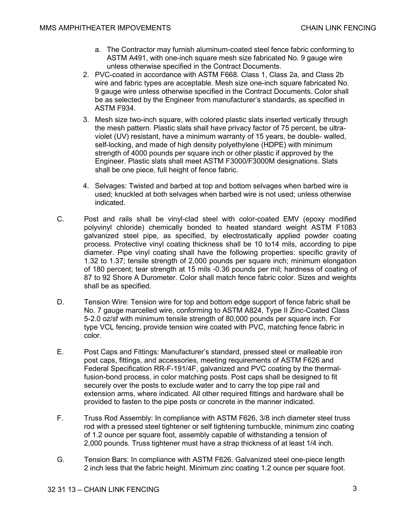- a. The Contractor may furnish aluminum-coated steel fence fabric conforming to ASTM A491, with one-inch square mesh size fabricated No. 9 gauge wire unless otherwise specified in the Contract Documents.
- 2. PVC-coated in accordance with ASTM F668. Class 1, Class 2a, and Class 2b wire and fabric types are acceptable. Mesh size one-inch square fabricated No. 9 gauge wire unless otherwise specified in the Contract Documents. Color shall be as selected by the Engineer from manufacturer's standards, as specified in ASTM F934.
- 3. Mesh size two-inch square, with colored plastic slats inserted vertically through the mesh pattern. Plastic slats shall have privacy factor of 75 percent, be ultraviolet (UV) resistant, have a minimum warranty of 15 years, be double- walled, self-locking, and made of high density polyethylene (HDPE) with minimum strength of 4000 pounds per square inch or other plastic if approved by the Engineer. Plastic slats shall meet ASTM F3000/F3000M designations. Slats shall be one piece, full height of fence fabric.
- 4. Selvages: Twisted and barbed at top and bottom selvages when barbed wire is used; knuckled at both selvages when barbed wire is not used; unless otherwise indicated.
- C. Post and rails shall be vinyl-clad steel with color-coated EMV (epoxy modified polyvinyl chloride) chemically bonded to heated standard weight ASTM F1083 galvanized steel pipe, as specified, by electrostatically applied powder coating process. Protective vinyl coating thickness shall be 10 to14 mils, according to pipe diameter. Pipe vinyl coating shall have the following properties: specific gravity of 1.32 to 1.37; tensile strength of 2,000 pounds per square inch; minimum elongation of 180 percent; tear strength at 15 mils -0.36 pounds per mil; hardness of coating of 87 to 92 Shore A Durometer. Color shall match fence fabric color. Sizes and weights shall be as specified.
- D. Tension Wire: Tension wire for top and bottom edge support of fence fabric shall be No. 7 gauge marcelled wire, conforming to ASTM A824, Type II Zinc-Coated Class 5-2.0 oz/sf with minimum tensile strength of 80,000 pounds per square inch. For type VCL fencing, provide tension wire coated with PVC, matching fence fabric in color.
- E. Post Caps and Fittings: Manufacturer's standard, pressed steel or malleable iron post caps, fittings, and accessories, meeting requirements of ASTM F626 and Federal Specification RR-F-191/4F, galvanized and PVC coating by the thermalfusion-bond process, in color matching posts. Post caps shall be designed to fit securely over the posts to exclude water and to carry the top pipe rail and extension arms, where indicated. All other required fittings and hardware shall be provided to fasten to the pipe posts or concrete in the manner indicated.
- F. Truss Rod Assembly: In compliance with ASTM F626, 3/8 inch diameter steel truss rod with a pressed steel tightener or self tightening turnbuckle, minimum zinc coating of 1.2 ounce per square foot, assembly capable of withstanding a tension of 2,000 pounds. Truss tightener must have a strap thickness of at least 1/4 inch.
- G. Tension Bars: In compliance with ASTM F626. Galvanized steel one-piece length 2 inch less that the fabric height. Minimum zinc coating 1.2 ounce per square foot.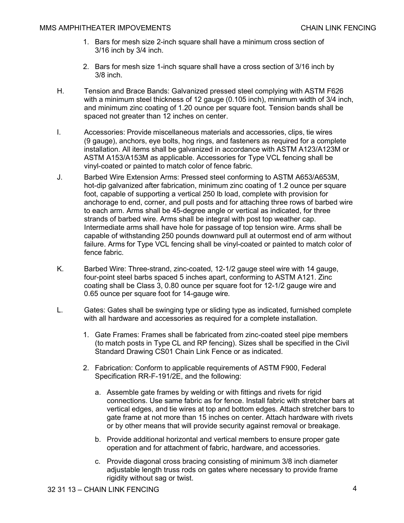- 1. Bars for mesh size 2-inch square shall have a minimum cross section of 3/16 inch by 3/4 inch.
- 2. Bars for mesh size 1-inch square shall have a cross section of 3/16 inch by 3/8 inch.
- H. Tension and Brace Bands: Galvanized pressed steel complying with ASTM F626 with a minimum steel thickness of 12 gauge (0.105 inch), minimum width of 3/4 inch, and minimum zinc coating of 1.20 ounce per square foot. Tension bands shall be spaced not greater than 12 inches on center.
- I. Accessories: Provide miscellaneous materials and accessories, clips, tie wires (9 gauge), anchors, eye bolts, hog rings, and fasteners as required for a complete installation. All items shall be galvanized in accordance with ASTM A123/A123M or ASTM A153/A153M as applicable. Accessories for Type VCL fencing shall be vinyl-coated or painted to match color of fence fabric.
- J. Barbed Wire Extension Arms: Pressed steel conforming to ASTM A653/A653M, hot-dip galvanized after fabrication, minimum zinc coating of 1.2 ounce per square foot, capable of supporting a vertical 250 lb load, complete with provision for anchorage to end, corner, and pull posts and for attaching three rows of barbed wire to each arm. Arms shall be 45-degree angle or vertical as indicated, for three strands of barbed wire. Arms shall be integral with post top weather cap. Intermediate arms shall have hole for passage of top tension wire. Arms shall be capable of withstanding 250 pounds downward pull at outermost end of arm without failure. Arms for Type VCL fencing shall be vinyl-coated or painted to match color of fence fabric.
- K. Barbed Wire: Three-strand, zinc-coated, 12-1/2 gauge steel wire with 14 gauge, four-point steel barbs spaced 5 inches apart, conforming to ASTM A121. Zinc coating shall be Class 3, 0.80 ounce per square foot for 12-1/2 gauge wire and 0.65 ounce per square foot for 14-gauge wire.
- L. Gates: Gates shall be swinging type or sliding type as indicated, furnished complete with all hardware and accessories as required for a complete installation.
	- 1. Gate Frames: Frames shall be fabricated from zinc-coated steel pipe members (to match posts in Type CL and RP fencing). Sizes shall be specified in the Civil Standard Drawing CS01 Chain Link Fence or as indicated.
	- 2. Fabrication: Conform to applicable requirements of ASTM F900, Federal Specification RR-F-191/2E, and the following:
		- a. Assemble gate frames by welding or with fittings and rivets for rigid connections. Use same fabric as for fence. Install fabric with stretcher bars at vertical edges, and tie wires at top and bottom edges. Attach stretcher bars to gate frame at not more than 15 inches on center. Attach hardware with rivets or by other means that will provide security against removal or breakage.
		- b. Provide additional horizontal and vertical members to ensure proper gate operation and for attachment of fabric, hardware, and accessories.
		- c. Provide diagonal cross bracing consisting of minimum 3/8 inch diameter adjustable length truss rods on gates where necessary to provide frame rigidity without sag or twist.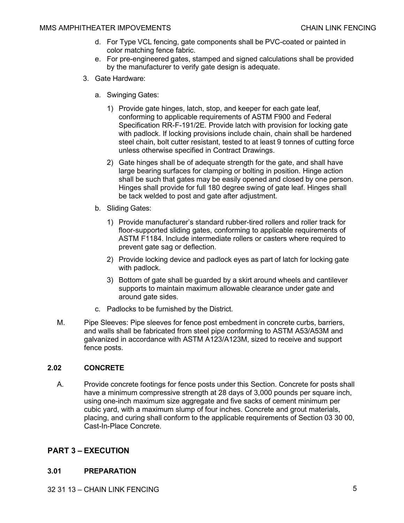- d. For Type VCL fencing, gate components shall be PVC-coated or painted in color matching fence fabric.
- e. For pre-engineered gates, stamped and signed calculations shall be provided by the manufacturer to verify gate design is adequate.
- 3. Gate Hardware:
	- a. Swinging Gates:
		- 1) Provide gate hinges, latch, stop, and keeper for each gate leaf, conforming to applicable requirements of ASTM F900 and Federal Specification RR-F-191/2E. Provide latch with provision for locking gate with padlock. If locking provisions include chain, chain shall be hardened steel chain, bolt cutter resistant, tested to at least 9 tonnes of cutting force unless otherwise specified in Contract Drawings.
		- 2) Gate hinges shall be of adequate strength for the gate, and shall have large bearing surfaces for clamping or bolting in position. Hinge action shall be such that gates may be easily opened and closed by one person. Hinges shall provide for full 180 degree swing of gate leaf. Hinges shall be tack welded to post and gate after adjustment.
	- b. Sliding Gates:
		- 1) Provide manufacturer's standard rubber-tired rollers and roller track for floor-supported sliding gates, conforming to applicable requirements of ASTM F1184. Include intermediate rollers or casters where required to prevent gate sag or deflection.
		- 2) Provide locking device and padlock eyes as part of latch for locking gate with padlock.
		- 3) Bottom of gate shall be guarded by a skirt around wheels and cantilever supports to maintain maximum allowable clearance under gate and around gate sides.
	- c. Padlocks to be furnished by the District.
- M. Pipe Sleeves: Pipe sleeves for fence post embedment in concrete curbs, barriers, and walls shall be fabricated from steel pipe conforming to ASTM A53/A53M and galvanized in accordance with ASTM A123/A123M, sized to receive and support fence posts.

### **2.02 CONCRETE**

A. Provide concrete footings for fence posts under this Section. Concrete for posts shall have a minimum compressive strength at 28 days of 3,000 pounds per square inch, using one-inch maximum size aggregate and five sacks of cement minimum per cubic yard, with a maximum slump of four inches. Concrete and grout materials, placing, and curing shall conform to the applicable requirements of Section 03 30 00, Cast-In-Place Concrete.

# **PART 3 – EXECUTION**

#### **3.01 PREPARATION**

32 31 13 – CHAIN LINK FENCING 5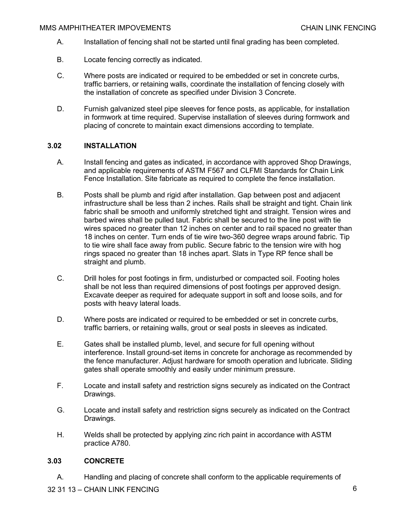- A. Installation of fencing shall not be started until final grading has been completed.
- B. Locate fencing correctly as indicated.
- C. Where posts are indicated or required to be embedded or set in concrete curbs, traffic barriers, or retaining walls, coordinate the installation of fencing closely with the installation of concrete as specified under Division 3 Concrete.
- D. Furnish galvanized steel pipe sleeves for fence posts, as applicable, for installation in formwork at time required. Supervise installation of sleeves during formwork and placing of concrete to maintain exact dimensions according to template.

### **3.02 INSTALLATION**

- A. Install fencing and gates as indicated, in accordance with approved Shop Drawings, and applicable requirements of ASTM F567 and CLFMI Standards for Chain Link Fence Installation. Site fabricate as required to complete the fence installation.
- B. Posts shall be plumb and rigid after installation. Gap between post and adjacent infrastructure shall be less than 2 inches. Rails shall be straight and tight. Chain link fabric shall be smooth and uniformly stretched tight and straight. Tension wires and barbed wires shall be pulled taut. Fabric shall be secured to the line post with tie wires spaced no greater than 12 inches on center and to rail spaced no greater than 18 inches on center. Turn ends of tie wire two-360 degree wraps around fabric. Tip to tie wire shall face away from public. Secure fabric to the tension wire with hog rings spaced no greater than 18 inches apart. Slats in Type RP fence shall be straight and plumb.
- C. Drill holes for post footings in firm, undisturbed or compacted soil. Footing holes shall be not less than required dimensions of post footings per approved design. Excavate deeper as required for adequate support in soft and loose soils, and for posts with heavy lateral loads.
- D. Where posts are indicated or required to be embedded or set in concrete curbs, traffic barriers, or retaining walls, grout or seal posts in sleeves as indicated.
- E. Gates shall be installed plumb, level, and secure for full opening without interference. Install ground-set items in concrete for anchorage as recommended by the fence manufacturer. Adjust hardware for smooth operation and lubricate. Sliding gates shall operate smoothly and easily under minimum pressure.
- F. Locate and install safety and restriction signs securely as indicated on the Contract Drawings.
- G. Locate and install safety and restriction signs securely as indicated on the Contract Drawings.
- H. Welds shall be protected by applying zinc rich paint in accordance with ASTM practice A780.

### **3.03 CONCRETE**

A. Handling and placing of concrete shall conform to the applicable requirements of

32 31 13 – CHAIN LINK FENCING 6